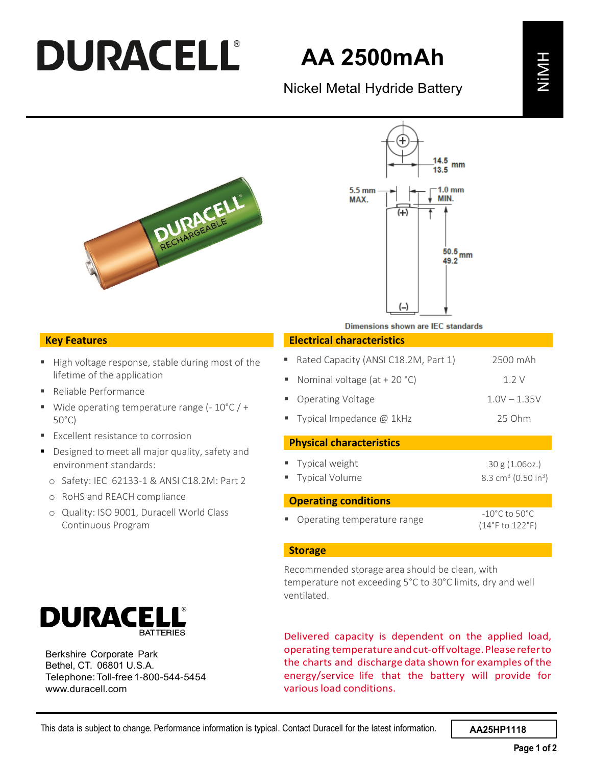## **DURACELL®**

## **AA 2500mAh**





#### **Key Features**

- High voltage response, stable during most of the lifetime of the application
- Reliable Performance
- Wide operating temperature range  $(-10^{\circ}C) +$ 50°C)
- **Excellent resistance to corrosion**
- Designed to meet all major quality, safety and environment standards:
	- o Safety: IEC 62133-1 & ANSI C18.2M: Part 2
	- o RoHS and REACH compliance
	- o Quality: ISO 9001, Duracell World Class Continuous Program



Berkshire Corporate Park Bethel, CT. 06801 U.S.A. Telephone:Toll-free1-800-544-5454 [www.duracell.com](http://www.duracell.com/)

#### **Electrical characteristics**

| AA 2500mAn                                                                                                                                                                                                                                                         |                                                               |             |
|--------------------------------------------------------------------------------------------------------------------------------------------------------------------------------------------------------------------------------------------------------------------|---------------------------------------------------------------|-------------|
| Nickel Metal Hydride Battery                                                                                                                                                                                                                                       |                                                               |             |
| mm                                                                                                                                                                                                                                                                 |                                                               |             |
| $5.5 \text{ mm}$<br>1.0 mm<br>MAX.<br>$^{(+)}$                                                                                                                                                                                                                     |                                                               |             |
| $50.5\,$ mm<br>49.2                                                                                                                                                                                                                                                |                                                               |             |
| Dimensions shown are IEC standards                                                                                                                                                                                                                                 |                                                               |             |
| <b>Electrical characteristics</b>                                                                                                                                                                                                                                  |                                                               |             |
| Rated Capacity (ANSI C18.2M, Part 1)                                                                                                                                                                                                                               | 2500 mAh                                                      |             |
| Nominal voltage (at + 20 $°C$ )<br>ш                                                                                                                                                                                                                               | 1.2V                                                          |             |
| <b>Operating Voltage</b>                                                                                                                                                                                                                                           | $1.0V - 1.35V$                                                |             |
| Typical Impedance @ 1kHz                                                                                                                                                                                                                                           | 25 Ohm                                                        |             |
| <b>Physical characteristics</b>                                                                                                                                                                                                                                    |                                                               |             |
| Typical weight<br><b>Typical Volume</b>                                                                                                                                                                                                                            | 30 g (1.06oz.)<br>8.3 cm <sup>3</sup> (0.50 in <sup>3</sup> ) |             |
| <b>Operating conditions</b>                                                                                                                                                                                                                                        |                                                               |             |
| Operating temperature range                                                                                                                                                                                                                                        | $-10^{\circ}$ C to $50^{\circ}$ C<br>(14°F to 122°F)          |             |
| <b>Storage</b>                                                                                                                                                                                                                                                     |                                                               |             |
| Recommended storage area should be clean, with<br>temperature not exceeding 5°C to 30°C limits, dry and well<br>ventilated.                                                                                                                                        |                                                               |             |
| Delivered capacity is dependent on the applied load,<br>operating temperature and cut-off voltage. Please refer to<br>the charts and discharge data shown for examples of the<br>energy/service life that the battery will provide for<br>various load conditions. |                                                               |             |
| Contact Duracell for the latest information.                                                                                                                                                                                                                       | AA25HP1118                                                    |             |
|                                                                                                                                                                                                                                                                    |                                                               | Page 1 of 2 |

#### **Storage**